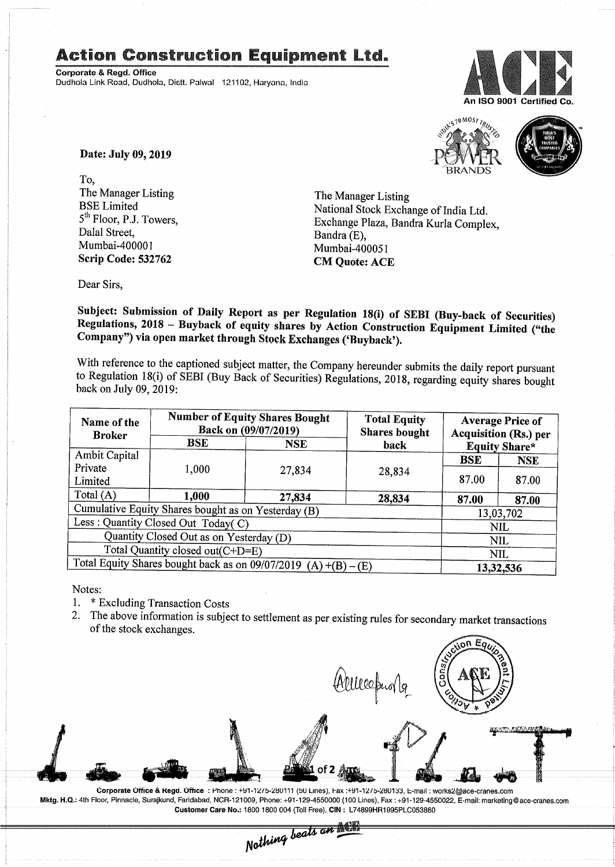## Action Construction Equipment Ltd.

Corporate & Regd. Office Dudhola Link Road, Dudhola, Dietl. Palwal 121102, Haryann, India





Date: July 09, 2019

To, The Manager Listing BSELimited 5<sup>th</sup> Floor, P.J. Towers, Dalal Street, Mumbai-400001 Scrip Code: 532762

The Manager Listing National Stock Exchange of India Ltd. Exchange Plaza, Bandra Kurla Complex, Bandra (E), Mumbai-4000S1 CM Quote: ACE

Dear Sirs,

Subject: Submission of Daily Report as per Regulation 18(i) of SEBI (Buy-back of Securities) Regulations, 2018 - Buyback of equity shares by Action Construction Equipment Limited ("the Company") via open market through Stock Exchanges ('Ruyback').

With reference to the captioned subject matter, the Company hereunder submits the daily report pursuant to Regulation 18(i) of SEBI (Buy Back of Securities) Regulations, 2018, regarding equity shares bought back on July 09, 2019:

| Name of the<br><b>Broker</b>                                            | <b>Number of Equity Shares Bought</b><br>Back on (09/07/2019) |        | <b>Total Equity</b><br><b>Shares bought</b> | <b>Average Price of</b><br><b>Acquisition (Rs.) per</b><br><b>Equity Share*</b> |            |  |
|-------------------------------------------------------------------------|---------------------------------------------------------------|--------|---------------------------------------------|---------------------------------------------------------------------------------|------------|--|
|                                                                         | $_{\rm BSE}$<br><b>NSE</b><br>back                            |        |                                             |                                                                                 |            |  |
| Ambit Capital                                                           |                                                               |        |                                             | <b>BSE</b>                                                                      | <b>NSE</b> |  |
| Private<br>Limited                                                      | 1,000                                                         | 27,834 | 28,834                                      | 87.00                                                                           | 87.00      |  |
| Total (A)                                                               | 1,000                                                         | 27,834 | 28,834                                      | 87.00                                                                           | 87.00      |  |
| Cumulative Equity Shares bought as on Yesterday (B)                     |                                                               |        |                                             |                                                                                 | 13,03,702  |  |
| Less: Quantity Closed Out Today(C)                                      |                                                               |        |                                             | <b>NIL</b>                                                                      |            |  |
| Quantity Closed Out as on Yesterday (D)                                 |                                                               |        |                                             |                                                                                 | NIL.       |  |
| Total Quantity closed out(C+D=E)                                        |                                                               |        |                                             |                                                                                 | NIL.       |  |
| Total Equity Shares bought back as on 09/07/2019<br>$(A)+(B)$<br>$ (E)$ |                                                               |        |                                             | 13,32,536                                                                       |            |  |

Notes:

- 1. \* Excluding Transaction Costs
- 2. The above information is subject to settlement as per existing rules for secondary market transactions of the stock exchanges.

 $\overline{0}$ n E $\overline{q}$ AlllecpurTg

Corporate Office & Regd. Office: Phone: +91-12/5-280111 (50 Lines), Fax :+91-12/5-280133, E-mail: works2@ace-cranes.com Mktg. H.Q.: 4th Floor, Pinnacle, Surajkund, Faridabad, NCR-121009, Phone: +91-129-4550000 (100 Lines), Fax: +91-129-4550022, E-mail: marketmg@ace-cranes.com Customer Care No.: 1800 1800 004 (Toll Free), CIN: L74899HR1995PLC053860<br>
Mathima beats an **Nathing**